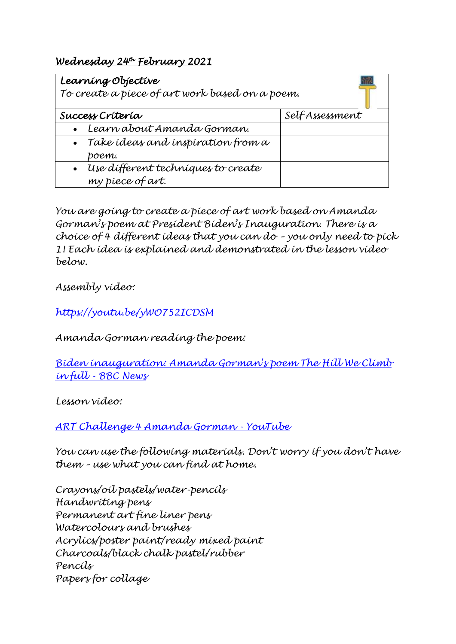# *Wednesday 24th February 2021*

| Learning Objective<br>To create a piece of art work based on a poem. |                |
|----------------------------------------------------------------------|----------------|
| Success Criteria                                                     | SelfAssessment |
| Learn about Amanda Gorman.                                           |                |
| $\bullet$ Take ideas and inspiration from a                          |                |
| boem.                                                                |                |
| · Use different techniques to create                                 |                |
| my piece of art.                                                     |                |

*You are going to create a piece of art work based on Amanda Gorman's poem at President Biden's Inauguration. There is a choice of 4 different ideas that you can do – you only need to pick 1! Each idea is explained and demonstrated in the lesson video below.* 

*Assembly video:*

*<https://youtu.be/yWO752ICDSM>*

*Amanda Gorman reading the poem:*

*[Biden inauguration: Amanda Gorman's poem The](https://www.bbc.co.uk/news/av/world-us-canada-55739805) Hill We Climb in full - [BBC News](https://www.bbc.co.uk/news/av/world-us-canada-55739805)*

*Lesson video:*

*[ART Challenge 4 Amanda Gorman -](https://www.youtube.com/watch?app=desktop&v=6-fVeBiX0LE&feature=youtu.be) YouTube*

*You can use the following materials. Don't worry if you don't have them – use what you can find at home.*

*Crayons/oil pastels/water-pencils Handwriting pens Permanent art fine liner pens Watercolours and brushes Acrylics/poster paint/ready mixed paint Charcoals/black chalk pastel/rubber Pencils Papers for collage*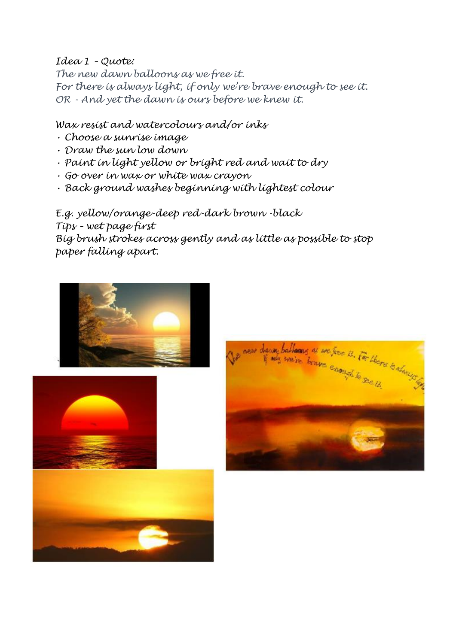### *Idea 1 – Quote:*

*The new dawn balloons as we free it. For there is always light, if only we're brave enough to see it. OR - And yet the dawn is ours before we knew it.*

## *Wax resist and watercolours and/or inks*

- *Choose a sunrise image*
- *Draw the sun low down*
- *Paint in light yellow or bright red and wait to dry*
- *Go over in wax or white wax crayon*
- *Back ground washes beginning with lightest colour*

*E.g. yellow/orange-deep red-dark brown -black Tips – wet page first Big brush strokes across gently and as little as possible to stop paper falling apart.*





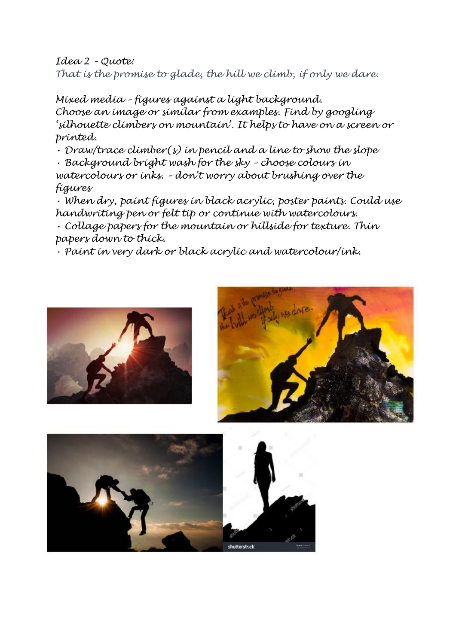*Idea 2 – Quote: That is the promise to glade, the hill we climb, if only we dare.*

*Mixed media – figures against a light background. Choose an image or similar from examples. Find by googling 'silhouette climbers on mountain'. It helps to have on a screen or printed.*

*• Draw/trace climber(s) in pencil and a line to show the slope*

*• Background bright wash for the sky – choose colours in watercolours or inks. – don't worry about brushing over the figures*

*• When dry, paint figures in black acrylic, poster paints. Could use handwriting pen or felt tip or continue with watercolours.*

*• Collage papers for the mountain or hillside for texture. Thin papers down to thick.*

*• Paint in very dark or black acrylic and watercolour/ink.*





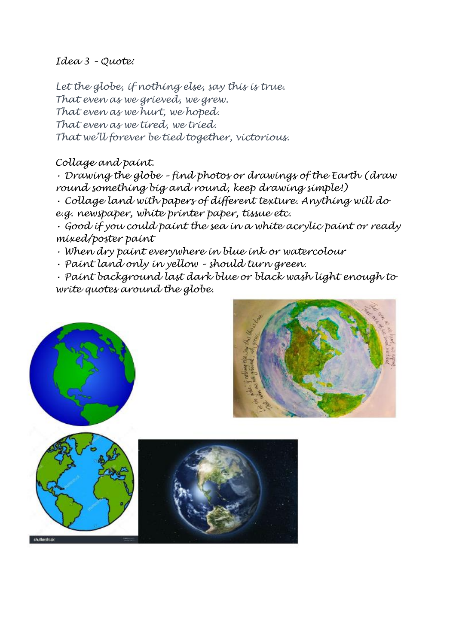### *Idea 3 – Quote:*

*Let the globe, if nothing else, say this is true. That even as we grieved, we grew. That even as we hurt, we hoped. That even as we tired, we tried. That we'll forever be tied together, victorious.*

#### *Collage and paint.*

*• Drawing the globe – find photos or drawings of the Earth (draw round something big and round, keep drawing simple!)*

*• Collage land with papers of different texture. Anything will do* 

*e.g. newspaper, white printer paper, tissue etc.*

*• Good if you could paint the sea in a white acrylic paint or ready mixed/poster paint*

*• When dry paint everywhere in blue ink or watercolour*

*• Paint land only in yellow – should turn green.*

*• Paint background last dark blue or black wash light enough to write quotes around the globe.*